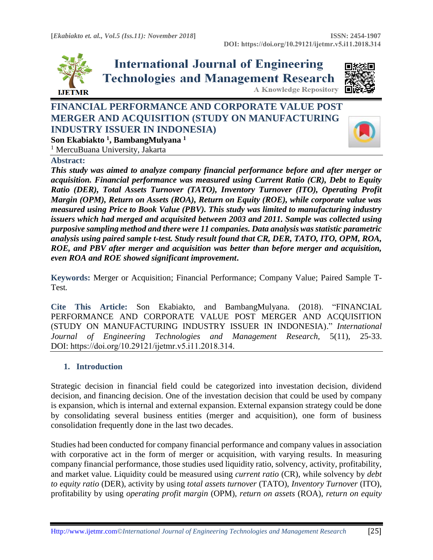

**International Journal of Engineering Technologies and Management Research A Knowledge Repository** 



# **FINANCIAL PERFORMANCE AND CORPORATE VALUE POST MERGER AND ACQUISITION (STUDY ON MANUFACTURING INDUSTRY ISSUER IN INDONESIA) Son Ekabiakto <sup>1</sup> , BambangMulyana <sup>1</sup>**



<sup>1</sup> MercuBuana University, Jakarta

### **Abstract:**

*This study was aimed to analyze company financial performance before and after merger or acquisition. Financial performance was measured using Current Ratio (CR), Debt to Equity Ratio (DER), Total Assets Turnover (TATO), Inventory Turnover (ITO), Operating Profit Margin (OPM), Return on Assets (ROA), Return on Equity (ROE), while corporate value was measured using Price to Book Value (PBV). This study was limited to manufacturing industry issuers which had merged and acquisited between 2003 and 2011. Sample was collected using purposive sampling method and there were 11 companies. Data analysis was statistic parametric analysis using paired sample t-test. Study result found that CR, DER, TATO, ITO, OPM, ROA, ROE, and PBV after merger and acquisition was better than before merger and acquisition, even ROA and ROE showed significant improvement***.**

**Keywords:** Merger or Acquisition; Financial Performance; Company Value; Paired Sample T-Test*.* 

**Cite This Article:** Son Ekabiakto, and BambangMulyana. (2018). "FINANCIAL PERFORMANCE AND CORPORATE VALUE POST MERGER AND ACQUISITION (STUDY ON MANUFACTURING INDUSTRY ISSUER IN INDONESIA)." *International Journal of Engineering Technologies and Management Research,* 5(11), 25-33. DOI: https://doi.org/10.29121/ijetmr.v5.i11.2018.314.

# **1. Introduction**

Strategic decision in financial field could be categorized into investation decision, dividend decision, and financing decision. One of the investation decision that could be used by company is expansion, which is internal and external expansion. External expansion strategy could be done by consolidating several business entities (merger and acquisition), one form of business consolidation frequently done in the last two decades.

Studies had been conducted for company financial performance and company values in association with corporative act in the form of merger or acquisition, with varying results. In measuring company financial performance, those studies used liquidity ratio, solvency, activity, profitability, and market value. Liquidity could be measured using *current ratio* (CR), while solvency by *debt to equity ratio* (DER), activity by using *total assets turnover* (TATO), *Inventory Turnover* (ITO), profitability by using *operating profit margin* (OPM), *return on assets* (ROA), *return on equity*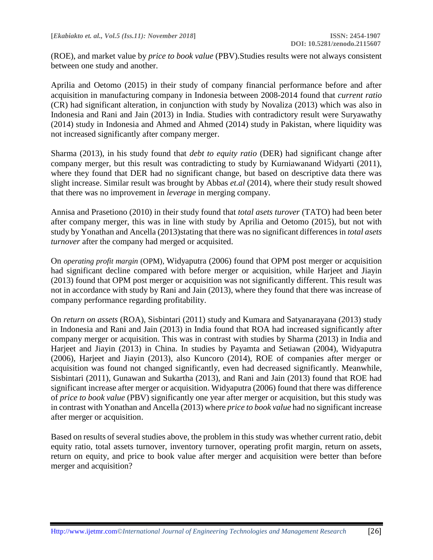(ROE), and market value by *price to book value* (PBV).Studies results were not always consistent between one study and another.

Aprilia and Oetomo (2015) in their study of company financial performance before and after acquisition in manufacturing company in Indonesia between 2008-2014 found that *current ratio* (CR) had significant alteration, in conjunction with study by Novaliza (2013) which was also in Indonesia and Rani and Jain (2013) in India. Studies with contradictory result were Suryawathy (2014) study in Indonesia and Ahmed and Ahmed (2014) study in Pakistan, where liquidity was not increased significantly after company merger.

Sharma (2013), in his study found that *debt to equity ratio* (DER) had significant change after company merger, but this result was contradicting to study by Kurniawanand Widyarti (2011), where they found that DER had no significant change, but based on descriptive data there was slight increase. Similar result was brought by Abbas *et.al* (2014), where their study result showed that there was no improvement in *leverage* in merging company.

Annisa and Prasetiono (2010) in their study found that *total asets turover* (TATO) had been beter after company merger, this was in line with study by Aprilia and Oetomo (2015), but not with study by Yonathan and Ancella (2013)stating that there was no significant differences in *total asets turnover* after the company had merged or acquisited.

On *operating profit margin* (OPM)*,* Widyaputra (2006) found that OPM post merger or acquisition had significant decline compared with before merger or acquisition, while Harjeet and Jiayin (2013) found that OPM post merger or acquisition was not significantly different. This result was not in accordance with study by Rani and Jain (2013), where they found that there was increase of company performance regarding profitability.

On *return on assets* (ROA), Sisbintari (2011) study and Kumara and Satyanarayana (2013) study in Indonesia and Rani and Jain (2013) in India found that ROA had increased significantly after company merger or acquisition. This was in contrast with studies by Sharma (2013) in India and Harjeet and Jiayin (2013) in China. In studies by Payamta and Setiawan (2004), Widyaputra (2006), Harjeet and Jiayin (2013), also Kuncoro (2014), ROE of companies after merger or acquisition was found not changed significantly, even had decreased significantly. Meanwhile, Sisbintari (2011), Gunawan and Sukartha (2013), and Rani and Jain (2013) found that ROE had significant increase after merger or acquisition. Widyaputra (2006) found that there was difference of *price to book value* (PBV) significantly one year after merger or acquisition, but this study was in contrast with Yonathan and Ancella (2013) where *price to book value* had no significant increase after merger or acquisition.

Based on results of several studies above, the problem in this study was whether current ratio, debit equity ratio, total assets turnover, inventory turnover, operating profit margin, return on assets, return on equity, and price to book value after merger and acquisition were better than before merger and acquisition?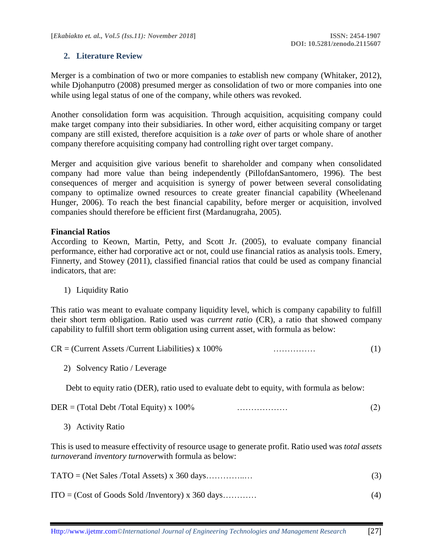# **2. Literature Review**

Merger is a combination of two or more companies to establish new company (Whitaker, 2012), while Djohanputro (2008) presumed merger as consolidation of two or more companies into one while using legal status of one of the company, while others was revoked.

Another consolidation form was acquisition. Through acquisition, acquisiting company could make target company into their subsidiaries. In other word, either acquisiting company or target company are still existed, therefore acquisition is a *take over* of parts or whole share of another company therefore acquisiting company had controlling right over target company.

Merger and acquisition give various benefit to shareholder and company when consolidated company had more value than being independently (PillofdanSantomero, 1996). The best consequences of merger and acquisition is synergy of power between several consolidating company to optimalize owned resources to create greater financial capability (Wheelenand Hunger, 2006). To reach the best financial capability, before merger or acquisition, involved companies should therefore be efficient first (Mardanugraha, 2005).

### **Financial Ratios**

According to Keown, Martin, Petty, and Scott Jr. (2005), to evaluate company financial performance, either had corporative act or not, could use financial ratios as analysis tools. Emery, Finnerty, and Stowey (2011), classified financial ratios that could be used as company financial indicators, that are:

1) Liquidity Ratio

This ratio was meant to evaluate company liquidity level, which is company capability to fulfill their short term obligation. Ratio used was *current ratio* (CR), a ratio that showed company capability to fulfill short term obligation using current asset, with formula as below:

 $CR =$  (Current Assets /Current Liabilities) x 100% …………… (1)

2) Solvency Ratio / Leverage

Debt to equity ratio (DER), ratio used to evaluate debt to equity, with formula as below:

| $DER = (Total Debt / Total Equity) \times 100\%$ | . |  |
|--------------------------------------------------|---|--|
|                                                  |   |  |

3) Activity Ratio

This is used to measure effectivity of resource usage to generate profit. Ratio used was *total assets turnover*and *inventory turnover*with formula as below:

| $ITO = (Cost of Goods Sold / Inventory) \times 360 days$ |  |
|----------------------------------------------------------|--|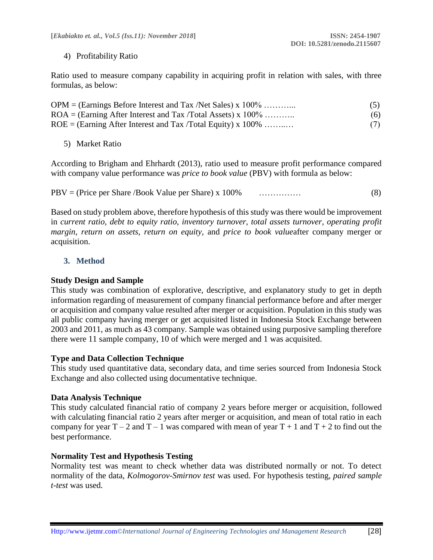### 4) Profitability Ratio

Ratio used to measure company capability in acquiring profit in relation with sales, with three formulas, as below:

| $OPM = (Earnings Before Interest and Tax /Net Sales) \times 100\%$ | (5) |
|--------------------------------------------------------------------|-----|
| $ROA = (Earning After Interest and Tax/Total Assets) \times 100\%$ | (6) |
| $ROE = (Earning After Interest and Tax/Total Equity) \times 100\%$ | (7) |

5) Market Ratio

According to Brigham and Ehrhardt (2013), ratio used to measure profit performance compared with company value performance was *price to book value* (PBV) with formula as below:

PBV = (Price per Share /Book Value per Share) x 100% …………… (8)

Based on study problem above, therefore hypothesis of this study was there would be improvement in *current ratio, debt to equity ratio, inventory turnover, total assets turnover, operating profit margin, return on assets, return on equity,* and *price to book value*after company merger or acquisition.

# **3. Method**

### **Study Design and Sample**

This study was combination of explorative, descriptive, and explanatory study to get in depth information regarding of measurement of company financial performance before and after merger or acquisition and company value resulted after merger or acquisition. Population in this study was all public company having merger or get acquisited listed in Indonesia Stock Exchange between 2003 and 2011, as much as 43 company. Sample was obtained using purposive sampling therefore there were 11 sample company, 10 of which were merged and 1 was acquisited.

### **Type and Data Collection Technique**

This study used quantitative data, secondary data, and time series sourced from Indonesia Stock Exchange and also collected using documentative technique.

### **Data Analysis Technique**

This study calculated financial ratio of company 2 years before merger or acquisition, followed with calculating financial ratio 2 years after merger or acquisition, and mean of total ratio in each company for year  $T - 2$  and  $T - 1$  was compared with mean of year  $T + 1$  and  $T + 2$  to find out the best performance.

### **Normality Test and Hypothesis Testing**

Normality test was meant to check whether data was distributed normally or not. To detect normality of the data, *Kolmogorov-Smirnov test* was used. For hypothesis testing, *paired sample t-test* was used*.*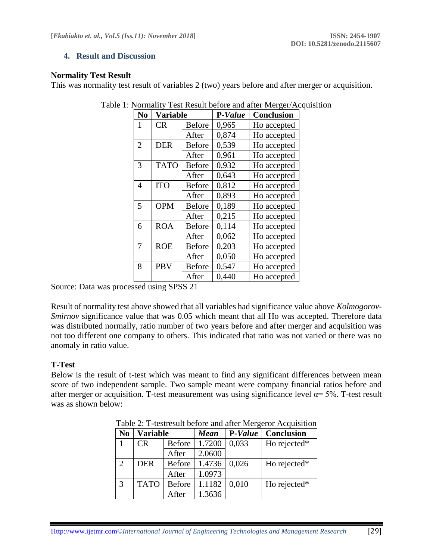### **4. Result and Discussion**

### **Normality Test Result**

This was normality test result of variables 2 (two) years before and after merger or acquisition.

| N <sub>0</sub> | Variable                    |               | P-Value | <b>Conclusion</b> |
|----------------|-----------------------------|---------------|---------|-------------------|
| 1              | CR<br><b>Before</b>         |               | 0,965   | Ho accepted       |
|                |                             | After         | 0,874   | Ho accepted       |
| $\overline{2}$ | <b>DER</b>                  | <b>Before</b> | 0,539   | Ho accepted       |
|                |                             | After         | 0.961   | Ho accepted       |
| 3              | <b>TATO</b>                 | <b>Before</b> | 0,932   | Ho accepted       |
|                |                             | After         | 0,643   | Ho accepted       |
| $\overline{4}$ | <b>ITO</b>                  | <b>Before</b> | 0,812   | Ho accepted       |
|                |                             | After         | 0,893   | Ho accepted       |
| 5              | <b>OPM</b>                  | <b>Before</b> | 0.189   | Ho accepted       |
|                |                             | After         | 0,215   | Ho accepted       |
| 6              | <b>ROA</b>                  | <b>Before</b> | 0,114   | Ho accepted       |
|                | After                       |               | 0,062   | Ho accepted       |
| 7              | <b>ROE</b>                  | <b>Before</b> | 0,203   | Ho accepted       |
|                | After                       |               | 0,050   | Ho accepted       |
| 8              | <b>PBV</b><br><b>Before</b> |               | 0,547   | Ho accepted       |
|                |                             | After         | 0,440   | Ho accepted       |

|  | Table 1: Normality Test Result before and after Merger/Acquisition |
|--|--------------------------------------------------------------------|
|  |                                                                    |

Source: Data was processed using SPSS 21

Result of normality test above showed that all variables had significance value above *Kolmogorov-Smirnov* significance value that was 0.05 which meant that all Ho was accepted. Therefore data was distributed normally, ratio number of two years before and after merger and acquisition was not too different one company to others. This indicated that ratio was not varied or there was no anomaly in ratio value.

# **T-Test**

Below is the result of t-test which was meant to find any significant differences between mean score of two independent sample. Two sample meant were company financial ratios before and after merger or acquisition. T-test measurement was using significance level  $\alpha$ = 5%. T-test result was as shown below:

| No             | <b>Variable</b> |               | <b>Mean</b> | P-Value | <b>Conclusion</b> |
|----------------|-----------------|---------------|-------------|---------|-------------------|
|                | <b>CR</b>       | <b>Before</b> | 1.7200      | 0,033   | Ho rejected*      |
|                |                 | After         | 2.0600      |         |                   |
| $\overline{2}$ | <b>DER</b>      | <b>Before</b> | 1.4736      | 0.026   | Ho rejected*      |
|                |                 | After         | 1.0973      |         |                   |
| 3              | <b>TATO</b>     | <b>Before</b> | 1.1182      | 0.010   | Ho rejected*      |
|                |                 | After         | 1.3636      |         |                   |

Table 2: T-testresult before and after Mergeror Acquisition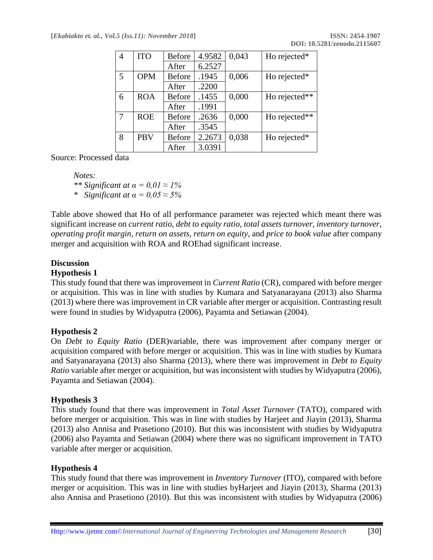| 4 | <b>ITO</b> | <b>Before</b> | 4.9582 | 0,043 | Ho rejected*  |
|---|------------|---------------|--------|-------|---------------|
|   |            | After         | 6.2527 |       |               |
| 5 | <b>OPM</b> | <b>Before</b> | .1945  | 0,006 | Ho rejected*  |
|   |            | After         | .2200  |       |               |
| 6 | <b>ROA</b> | <b>Before</b> | .1455  | 0,000 | Ho rejected** |
|   |            | After         | .1991  |       |               |
| 7 | <b>ROE</b> | <b>Before</b> | .2636  | 0,000 | Ho rejected** |
|   |            | After         | .3545  |       |               |
| 8 | <b>PBV</b> | <b>Before</b> | 2.2673 | 0,038 | Ho rejected*  |
|   |            | After         | 3.0391 |       |               |

Source: Processed data

*Notes: \*\* Significant at α = 0,01 ≈ 1% \* Significant at α = 0,05 ≈ 5%*

Table above showed that Ho of all performance parameter was rejected which meant there was significant increase on *current ratio, debt to equity ratio, total assets turnover, inventory turnover, operating profit margin, return on assets, return on equity,* and *price to book value* after company merger and acquisition with ROA and ROEhad significant increase.

# **Discussion**

### **Hypothesis 1**

This study found that there was improvement in *Current Ratio* (CR), compared with before merger or acquisition. This was in line with studies by Kumara and Satyanarayana (2013) also Sharma (2013) where there was improvement in CR variable after merger or acquisition. Contrasting result were found in studies by Widyaputra (2006), Payamta and Setiawan (2004).

# **Hypothesis 2**

On *Debt to Equity Ratio* (DER)variable, there was improvement after company merger or acquisition compared with before merger or acquisition. This was in line with studies by Kumara and Satyanarayana (2013) also Sharma (2013), where there was improvement in *Debt to Equity Ratio* variable after merger or acquisition, but was inconsistent with studies by Widyaputra (2006), Payamta and Setiawan (2004).

### **Hypothesis 3**

This study found that there was improvement in *Total Asset Turnover* (TATO), compared with before merger or acquisition. This was in line with studies by Harjeet and Jiayin (2013), Sharma (2013) also Annisa and Prasetiono (2010). But this was inconsistent with studies by Widyaputra (2006) also Payamta and Setiawan (2004) where there was no significant improvement in TATO variable after merger or acquisition.

### **Hypothesis 4**

This study found that there was improvement in *Inventory Turnover* (ITO), compared with before merger or acquisition. This was in line with studies byHarjeet and Jiayin (2013), Sharma (2013) also Annisa and Prasetiono (2010). But this was inconsistent with studies by Widyaputra (2006)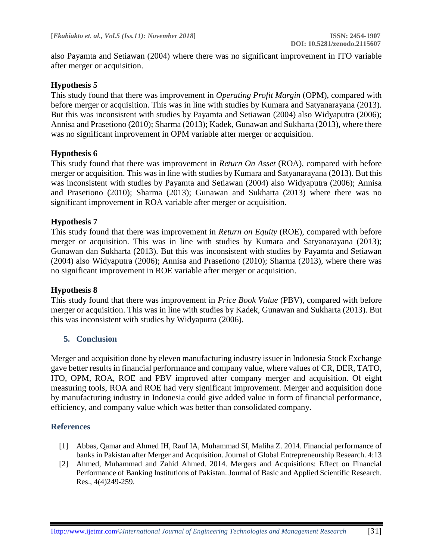also Payamta and Setiawan (2004) where there was no significant improvement in ITO variable after merger or acquisition.

# **Hypothesis 5**

This study found that there was improvement in *Operating Profit Margin* (OPM), compared with before merger or acquisition. This was in line with studies by Kumara and Satyanarayana (2013). But this was inconsistent with studies by Payamta and Setiawan (2004) also Widyaputra (2006); Annisa and Prasetiono (2010); Sharma (2013); Kadek, Gunawan and Sukharta (2013), where there was no significant improvement in OPM variable after merger or acquisition.

### **Hypothesis 6**

This study found that there was improvement in *Return On Asset* (ROA), compared with before merger or acquisition. This was in line with studies by Kumara and Satyanarayana (2013). But this was inconsistent with studies by Payamta and Setiawan (2004) also Widyaputra (2006); Annisa and Prasetiono (2010); Sharma (2013); Gunawan and Sukharta (2013) where there was no significant improvement in ROA variable after merger or acquisition.

### **Hypothesis 7**

This study found that there was improvement in *Return on Equity* (ROE), compared with before merger or acquisition. This was in line with studies by Kumara and Satyanarayana (2013); Gunawan dan Sukharta (2013). But this was inconsistent with studies by Payamta and Setiawan (2004) also Widyaputra (2006); Annisa and Prasetiono (2010); Sharma (2013), where there was no significant improvement in ROE variable after merger or acquisition.

### **Hypothesis 8**

This study found that there was improvement in *Price Book Value* (PBV), compared with before merger or acquisition. This was in line with studies by Kadek, Gunawan and Sukharta (2013). But this was inconsistent with studies by Widyaputra (2006).

# **5. Conclusion**

Merger and acquisition done by eleven manufacturing industry issuer in Indonesia Stock Exchange gave better results in financial performance and company value, where values of CR, DER, TATO, ITO, OPM, ROA, ROE and PBV improved after company merger and acquisition. Of eight measuring tools, ROA and ROE had very significant improvement. Merger and acquisition done by manufacturing industry in Indonesia could give added value in form of financial performance, efficiency, and company value which was better than consolidated company.

### **References**

- [1] Abbas, Qamar and Ahmed IH, Rauf IA, Muhammad SI, Maliha Z. 2014. Financial performance of banks in Pakistan after Merger and Acquisition. Journal of Global Entrepreneurship Research. 4:13
- [2] Ahmed, Muhammad and Zahid Ahmed. 2014. Mergers and Acquisitions: Effect on Financial Performance of Banking Institutions of Pakistan. Journal of Basic and Applied Scientific Research. Res., 4(4)249-259.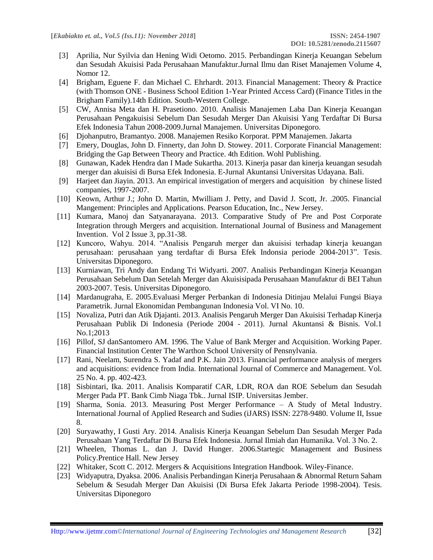- [3] Aprilia, Nur Syilvia dan Hening Widi Oetomo. 2015. Perbandingan Kinerja Keuangan Sebelum dan Sesudah Akuisisi Pada Perusahaan Manufaktur.Jurnal Ilmu dan Riset Manajemen Volume 4, Nomor 12.
- [4] Brigham, Eguene F. dan Michael C. Ehrhardt. 2013. Financial Management: Theory & Practice (with Thomson ONE - Business School Edition 1-Year Printed Access Card) (Finance Titles in the Brigham Family).14th Edition. South-Western College.
- [5] CW, Annisa Meta dan H. Prasetiono. 2010. Analisis Manajemen Laba Dan Kinerja Keuangan Perusahaan Pengakuisisi Sebelum Dan Sesudah Merger Dan Akuisisi Yang Terdaftar Di Bursa Efek Indonesia Tahun 2008-2009.Jurnal Manajemen. Universitas Diponegoro.
- [6] Djohanputro, Bramantyo. 2008. Manajemen Resiko Korporat. PPM Manajemen. Jakarta
- [7] Emery, Douglas, John D. Finnerty, dan John D. Stowey. 2011. Corporate Financial Management: Bridging the Gap Between Theory and Practice. 4th Edition. Wohl Publishing.
- [8] Gunawan, Kadek Hendra dan I Made Sukartha. 2013. Kinerja pasar dan kinerja keuangan sesudah merger dan akuisisi di Bursa Efek Indonesia. E-Jurnal Akuntansi Universitas Udayana. Bali.
- [9] Harjeet dan Jiayin. 2013. An empirical investigation of mergers and acquisition by chinese listed companies, 1997-2007.
- [10] Keown, Arthur J.; John D. Martin, Mwilliam J. Petty, and David J. Scott, Jr. .2005. Financial Mangement: Principles and Applications. Pearson Education, Inc., New Jersey.
- [11] Kumara, Manoj dan Satyanarayana. 2013. Comparative Study of Pre and Post Corporate Integration through Mergers and acquisition. International Journal of Business and Management Invention. Vol 2 Issue 3, pp.31-38.
- [12] Kuncoro, Wahyu. 2014. "Analisis Pengaruh merger dan akuisisi terhadap kinerja keuangan perusahaan: perusahaan yang terdaftar di Bursa Efek Indonsia periode 2004-2013". Tesis. Universitas Diponegoro.
- [13] Kurniawan, Tri Andy dan Endang Tri Widyarti. 2007. Analisis Perbandingan Kinerja Keuangan Perusahaan Sebelum Dan Setelah Merger dan Akuisisipada Perusahaan Manufaktur di BEI Tahun 2003-2007. Tesis. Universitas Diponegoro.
- [14] Mardanugraha, E. 2005.Evaluasi Merger Perbankan di Indonesia Ditinjau Melalui Fungsi Biaya Parametrik. Jurnal Ekonomidan Pembangunan Indonesia Vol. VI No. 10.
- [15] Novaliza, Putri dan Atik Djajanti. 2013. Analisis Pengaruh Merger Dan Akuisisi Terhadap Kinerja Perusahaan Publik Di Indonesia (Periode 2004 - 2011). Jurnal Akuntansi & Bisnis. Vol.1 No.1;2013
- [16] Pillof, SJ danSantomero AM. 1996. The Value of Bank Merger and Acquisition. Working Paper. Financial Institution Center The Warthon School University of Pensnylvania.
- [17] Rani, Neelam, Surendra S. Yadaf and P.K. Jain 2013. Financial performance analysis of mergers and acquisitions: evidence from India. International Journal of Commerce and Management. Vol. 25 No. 4. pp. 402-423.
- [18] Sisbintari, Ika. 2011. Analisis Komparatif CAR, LDR, ROA dan ROE Sebelum dan Sesudah Merger Pada PT. Bank Cimb Niaga Tbk.. Jurnal ISIP. Universitas Jember.
- [19] Sharma, Sonia. 2013. Measuring Post Merger Performance A Study of Metal Industry. International Journal of Applied Research and Sudies (iJARS) ISSN: 2278-9480. Volume II, Issue 8.
- [20] Suryawathy, I Gusti Ary. 2014. Analisis Kinerja Keuangan Sebelum Dan Sesudah Merger Pada Perusahaan Yang Terdaftar Di Bursa Efek Indonesia. Jurnal Ilmiah dan Humanika. Vol. 3 No. 2.
- [21] Wheelen, Thomas L. dan J. David Hunger. 2006.Startegic Management and Business Policy.Prentice Hall. New Jersey
- [22] Whitaker, Scott C. 2012. Mergers & Acquisitions Integration Handbook. Wiley-Finance.
- [23] Widyaputra, Dyaksa. 2006. Analisis Perbandingan Kinerja Perusahaan & Abnormal Return Saham Sebelum & Sesudah Merger Dan Akuisisi (Di Bursa Efek Jakarta Periode 1998-2004). Tesis. Universitas Diponegoro